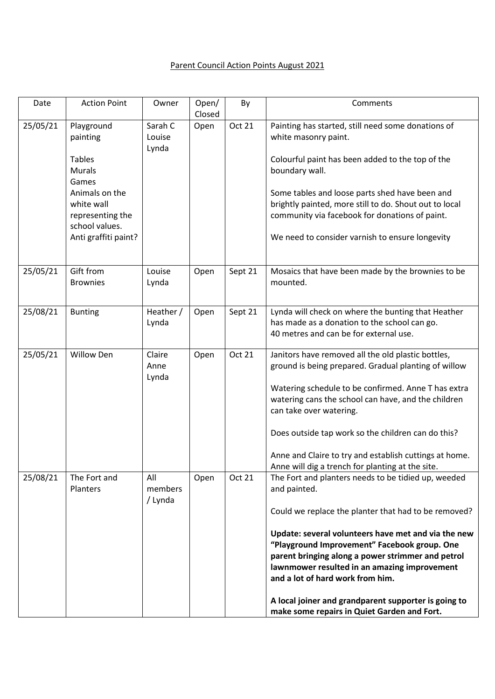## Parent Council Action Points August 2021

| Date     | <b>Action Point</b>                                                                                                  | Owner                      | Open/<br>Closed | By            | Comments                                                                                                                                                                                                                                                                                                                                                                                                                                                                                                                               |
|----------|----------------------------------------------------------------------------------------------------------------------|----------------------------|-----------------|---------------|----------------------------------------------------------------------------------------------------------------------------------------------------------------------------------------------------------------------------------------------------------------------------------------------------------------------------------------------------------------------------------------------------------------------------------------------------------------------------------------------------------------------------------------|
| 25/05/21 | Playground<br>painting<br><b>Tables</b>                                                                              | Sarah C<br>Louise<br>Lynda | Open            | Oct 21        | Painting has started, still need some donations of<br>white masonry paint.<br>Colourful paint has been added to the top of the                                                                                                                                                                                                                                                                                                                                                                                                         |
|          | <b>Murals</b><br>Games<br>Animals on the<br>white wall<br>representing the<br>school values.<br>Anti graffiti paint? |                            |                 |               | boundary wall.<br>Some tables and loose parts shed have been and<br>brightly painted, more still to do. Shout out to local<br>community via facebook for donations of paint.<br>We need to consider varnish to ensure longevity                                                                                                                                                                                                                                                                                                        |
| 25/05/21 | Gift from<br><b>Brownies</b>                                                                                         | Louise<br>Lynda            | Open            | Sept 21       | Mosaics that have been made by the brownies to be<br>mounted.                                                                                                                                                                                                                                                                                                                                                                                                                                                                          |
| 25/08/21 | <b>Bunting</b>                                                                                                       | Heather /<br>Lynda         | Open            | Sept 21       | Lynda will check on where the bunting that Heather<br>has made as a donation to the school can go.<br>40 metres and can be for external use.                                                                                                                                                                                                                                                                                                                                                                                           |
| 25/05/21 | <b>Willow Den</b>                                                                                                    | Claire<br>Anne<br>Lynda    | Open            | <b>Oct 21</b> | Janitors have removed all the old plastic bottles,<br>ground is being prepared. Gradual planting of willow<br>Watering schedule to be confirmed. Anne T has extra<br>watering cans the school can have, and the children<br>can take over watering.<br>Does outside tap work so the children can do this?<br>Anne and Claire to try and establish cuttings at home.                                                                                                                                                                    |
| 25/08/21 | The Fort and<br>Planters                                                                                             | All<br>members<br>/ Lynda  | Open            | Oct 21        | Anne will dig a trench for planting at the site.<br>The Fort and planters needs to be tidied up, weeded<br>and painted.<br>Could we replace the planter that had to be removed?<br>Update: several volunteers have met and via the new<br>"Playground Improvement" Facebook group. One<br>parent bringing along a power strimmer and petrol<br>lawnmower resulted in an amazing improvement<br>and a lot of hard work from him.<br>A local joiner and grandparent supporter is going to<br>make some repairs in Quiet Garden and Fort. |